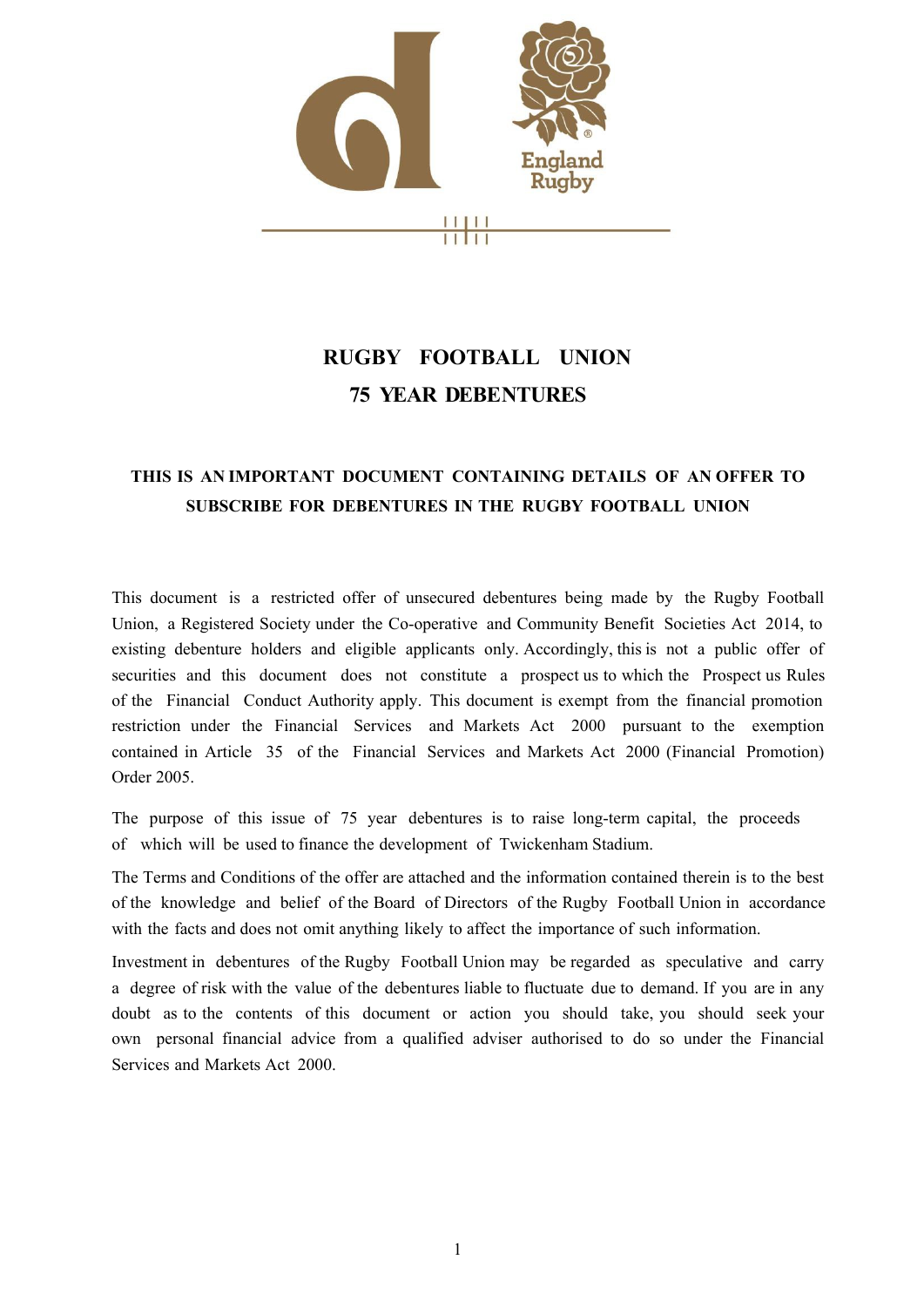

# **RUGBY FOOTBALL UNION 75 YEAR DEBENTURES**

# **THIS IS AN IMPORTANT DOCUMENT CONTAINING DETAILS OF AN OFFER TO SUBSCRIBE FOR DEBENTURES IN THE RUGBY FOOTBALL UNION**

This document is a restricted offer of unsecured debentures being made by the Rugby Football Union, a Registered Society under the Co-operative and Community Benefit Societies Act 2014, to existing debenture holders and eligible applicants only. Accordingly, this is not a public offer of securities and this document does not constitute a prospect us to which the Prospect us Rules of the Financial Conduct Authority apply. This document is exempt from the financial promotion restriction under the Financial Services and Markets Act 2000 pursuant to the exemption contained in Article 35 of the Financial Services and Markets Act 2000 (Financial Promotion) Order 2005.

The purpose of this issue of 75 year debentures is to raise long-term capital, the proceeds of which will be used to finance the development of Twickenham Stadium.

The Terms and Conditions of the offer are attached and the information contained therein is to the best of the knowledge and belief of the Board of Directors of the Rugby Football Union in accordance with the facts and does not omit anything likely to affect the importance of such information.

Investment in debentures of the Rugby Football Union may be regarded as speculative and carry a degree of risk with the value of the debentures liable to fluctuate due to demand. If you are in any doubt as to the contents of this document or action you should take, you should seek your own personal financial advice from a qualified adviser authorised to do so under the Financial Services and Markets Act 2000.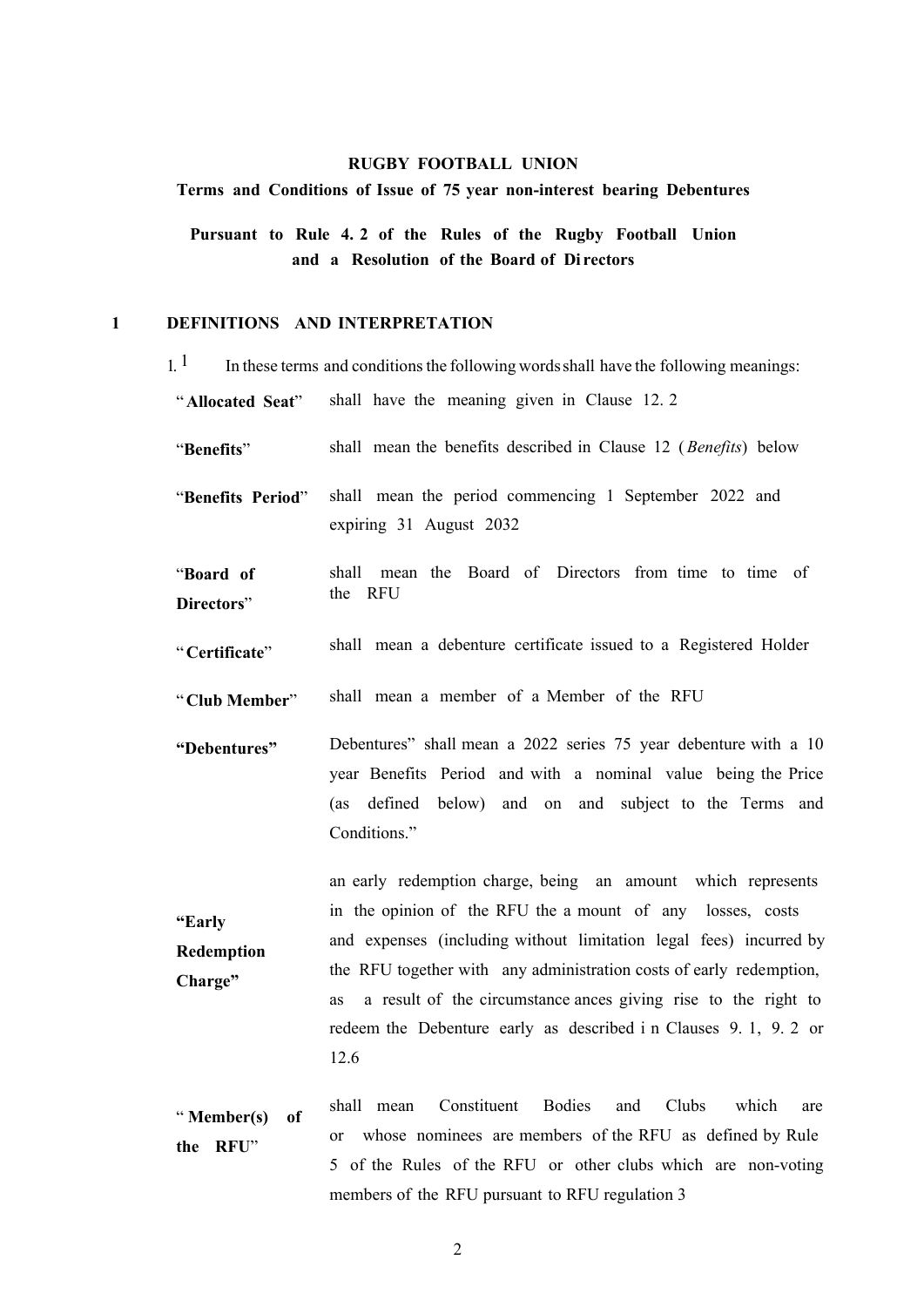### **RUGBY FOOTBALL UNION**

### Terms and Conditions of Issue of 75 year non-interest bearing Debentures

**Pursuant to Rule 4. 2 of the Rules of the Rugby Football Union and a Resolution of the Board of Di rectors** 

# **1 DEFINITIONS AND INTERPRETATION**

 $1<sup>1</sup>$  In these terms and conditions the following words shall have the following meanings:

shall have the meaning given in Clause 12. 2 "**Allocated Seat**"

shall mean the benefits described in Clause [12 \(](#page-7-0)*Benefits*) below "**Benefits**"

shall mean the period commencing 1 September 2022 and expiring 31 August 2032 "**Benefits Period**"

shall mean the Board of Directors from time to time of the RFU "**Board of Directors**"

shall mean a debenture certificate issued to a Registered Holder "**Certificate**"

shall mean a member of a Member of the RFU "**Club Member**"

Debentures" shall mean a 2022 series 75 year debenture with a 10 year Benefits Period and with a nominal valu[e being](#page-3-0) the Price (as defined below) and on and subject to the Terms and Conditions." **"Debentures"** 

an early redemption charge, being an amount which represents in the opinion of the RFU the a mount of any losses, costs and expenses (including without limitation legal fees) incurred by the RFU together with any administration costs of early redemption, as a result of the circumstance ances giving rise to the right to redeem the Debenture early as described i n Clauses 9. 1, 9. 2 or 12.6 **"Early Redemption Charge"**

shall mean Constituent Bodies and Clubs which are or whose nominees are members of the RFU as defined by Rule 5 of the Rules of the RFU or other clubs which are non-voting members of the RFU pursuant to RFU regulation 3 " **Member(s) of the RFU**"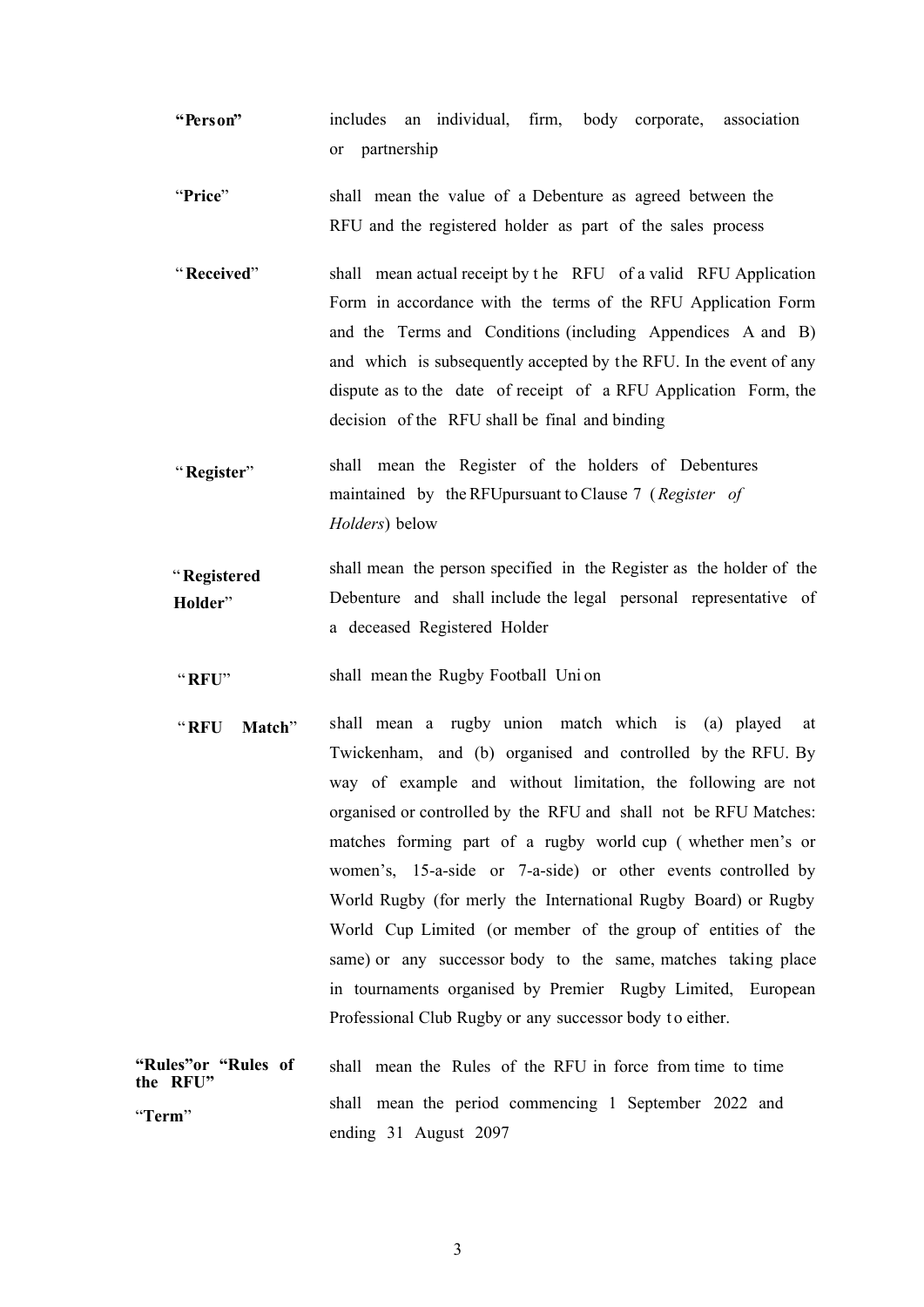- **"Person"** includes an individual, firm, body corporate, association or partnership
- shall mean the value of a Debenture as agreed between the RFU and the registered holder as part of the sales process "**Price**"
- shall mean actual receipt by t he RFU of a valid RFU Application Form in accordance with the terms of the RFU Application Form and the Terms and Conditions (including Appendices A and B) and which is subsequently accepted by the RFU. In the event of any dispute as to the date of receipt of a RFU Application Form, the decision of the RFU shall be final and binding "**Received**"
- shall mean the Register of the holders of Debentures maintained by the RFUpu[rsu](#page-4-0)ant to Clause 7 (*Register of Holders*) below "**Register**"

shall mean the person specified in the Register as the holder of the Debenture and shall include the legal personal representative of a deceased Registered Holder "**Registered Holder**"

- shall mean the Rugby Football Uni on "**RFU**"
- shall mean a rugby union match which is (a) played at Twickenham, and (b) organised and controlled by the RFU. By way of example and without limitation, the following are not organised or controlled by the RFU and shall not be RFU Matches: matches forming part of a rugby world cup ( whether men's or women's, 15-a-side or 7-a-side) or other events controlled by World Rugby (for merly the International Rugby Board) or Rugby World Cup Limited (or member of the group of entities of the same) or any successor body to the same, matches taking place in tournaments organised by Premier Rugby Limited, European Professional Club Rugby or any successor body to either. "**RFU Match**"

| "Rules"or "Rules of<br>the RFU" | shall mean the Rules of the RFU in force from time to time |
|---------------------------------|------------------------------------------------------------|
| "Term"                          | shall mean the period commencing 1 September 2022 and      |
|                                 | ending 31 August 2097                                      |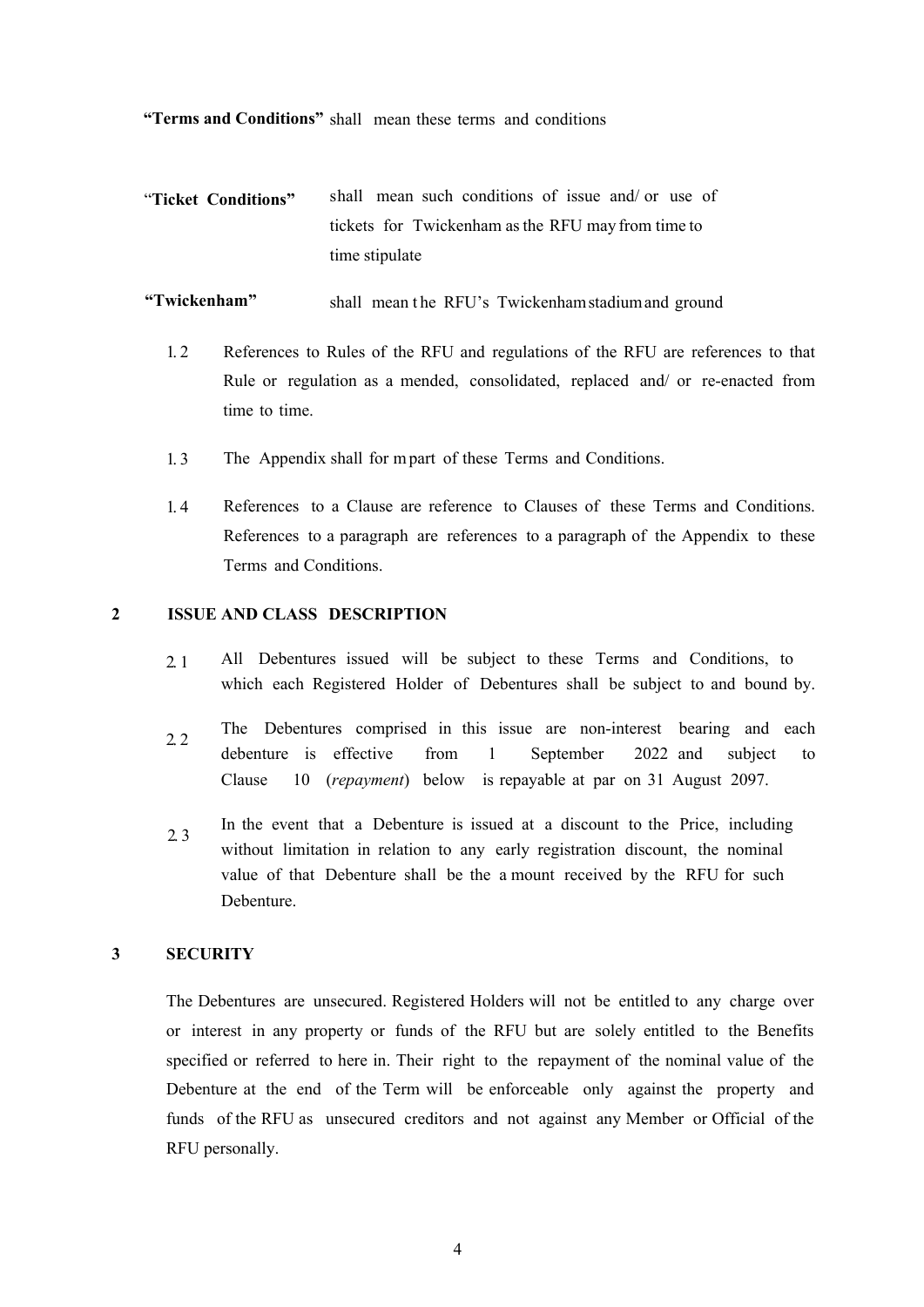**"Terms and Conditions"**  shall mean these terms and conditions

"**Ticket Conditions"**  shall mean such conditions of issue and/ or use of tickets for Twickenham as the RFU may from time to time stipulate

**"Twickenham"**  shall mean t he RFU's Twickenham stadium and ground

- 1. 2 References to Rules of the RFU and regulations of the RFU are references to that Rule or regulation as a mended, consolidated, replaced and/ or re-enacted from time to time.
- 1. 3 The Appendix shall for m part of these Terms and Conditions.
- 1. 4 References to a Clause are reference to Clauses of these Terms and Conditions. References to a paragraph are references to a paragraph of the Appendix to these Terms and Conditions.

# <span id="page-3-0"></span>**2 ISSUE AND CLASS DESCRIPTION**

- 2. 1 All Debentures issued will be subject to these Terms and Conditions, to which each Registered Holder of Debentures shall be subject to and bound by.
- 2. 2 The Debentures comprised in this issue are non-interest bearing and each debenture is effective from 1 September 2022 and subject to Clause 10 (*repayment*) below is repayable at par on 31 August 2097.
- 2. 3 In the event that a Debenture is issued at a discount to the Price, including without limitation in relation to any early registration discount, the nominal value of that Debenture shall be the a mount received by the RFU for such Debenture.

# **3 SECURITY**

The Debentures are unsecured. Registered Holders will not be entitled to any charge over or interest in any property or funds of the RFU but are solely entitled to the Benefits specified or referred to here in. Their right to the repayment of the nominal value of the Debenture at the end of the Term will be enforceable only against the property and funds of the RFU as unsecured creditors and not against any Member or Official of the RFU personally.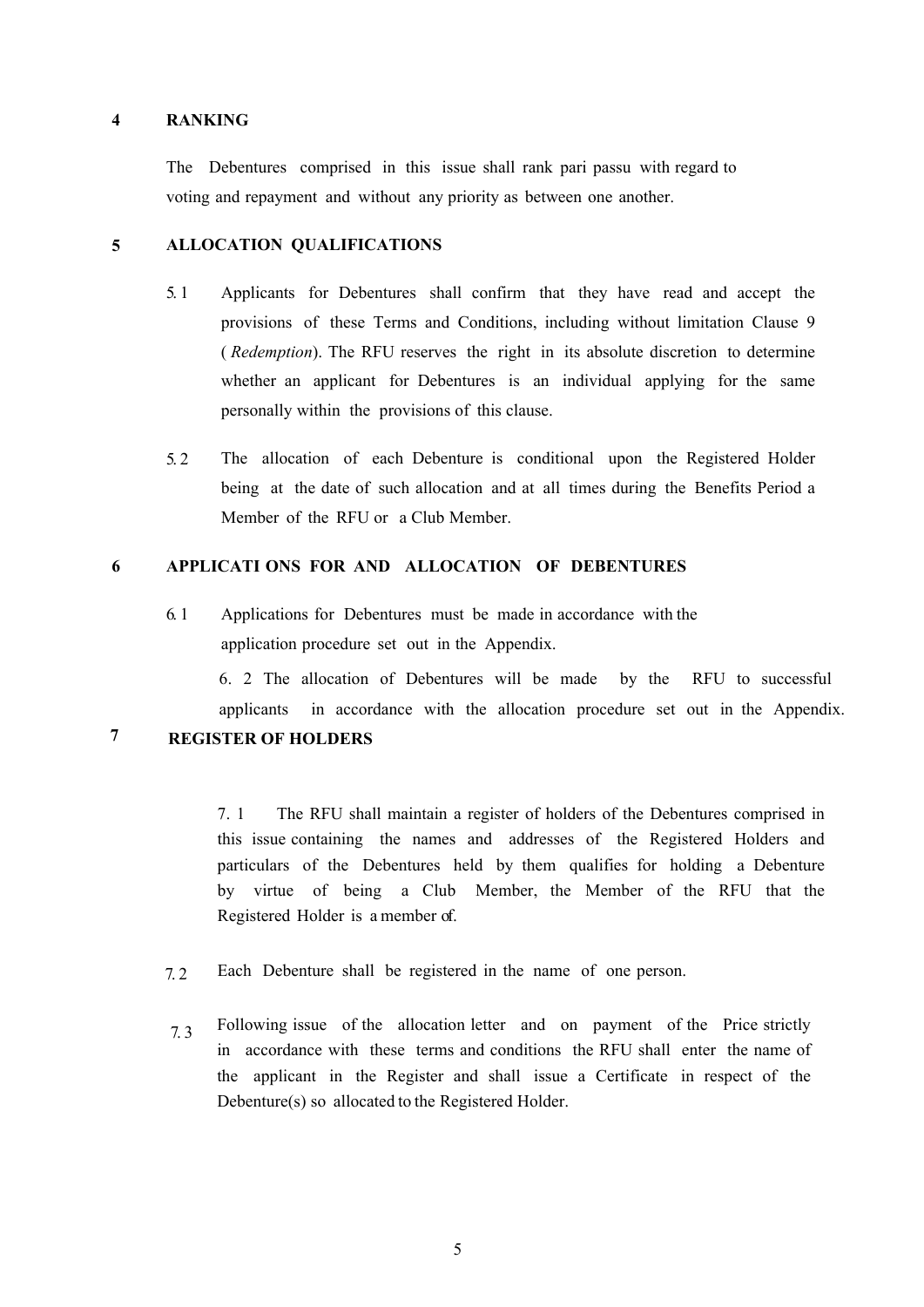#### **4 RANKING**

The Debentures comprised in this issue shall rank pari passu with regard to voting and repayment and without any priority as between one another.

#### **5 ALLOCATION QUALIFICATIONS**

- 5. 1 Applicants for Debentures shall confirm that they have read and accept the provisions of these Terms and Conditions, including without li[mitat](#page-6-0)ion Clause 9 ( *Redemption*). The RFU reserves the right in its absolute discretion to determine whether an applicant for Debentures is an individual applying for the same personally within the provisions of this clause.
- 5. 2 The allocation of each Debenture is conditional upon the Registered Holder being at the date of such allocation and at all times during the Benefits Period a Member of the RFU or a Club Member.

# **6 APPLICATI ONS FOR AND ALLOCATION OF DEBENTURES**

6. 1 Applications for Debentures must be made in accordance with the application procedure set out in the Appendix.

6. 2 The allocation of Debentures will be made by the RFU to successful applicants in accordance with the allocation procedure set out in the Appendix.

<span id="page-4-0"></span>**7**

# **REGISTER OF HOLDERS**

7. 1 The RFU shall maintain a register of holders of the Debentures comprised in this issue containing the names and addresses of the Registered Holders and particulars of the Debentures held by them qualifies for holding a Debenture by virtue of being a Club Member, the Member of the RFU that the Registered Holder is a member of.

- 7. 2 Each Debenture shall be registered in the name of one person.
- 7. 3 Following issue of the allocation letter and on payment of the Price strictly in accordance with these terms and conditions the RFU shall enter the name of the applicant in the Register and shall issue a Certificate in respect of the Debenture(s) so allocated to the Registered Holder.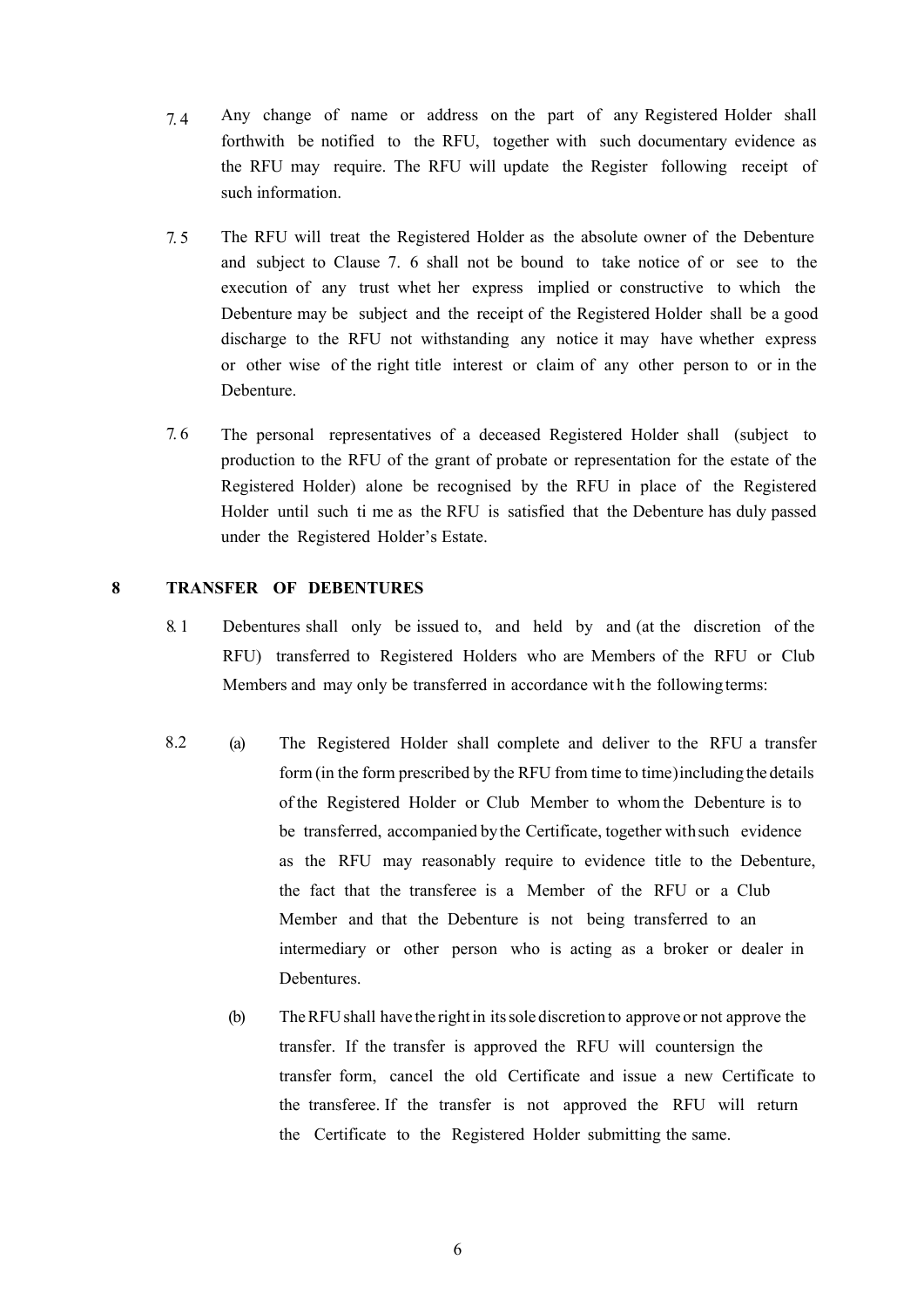- 7. 4 Any change of name or address on the part of any Registered Holder shall forthwith be notified to the RFU, together with such documentary evidence as the RFU may require. The RFU will update the Register following receipt of such information.
- 7. 5 The RFU will treat the Registered Holder as the absolute owner of the Debenture and subject to [Clause](#page-5-0) 7. 6 shall not be bound to take notice of or see to the execution of any trust whet her express implied or constructive to which the Debenture may be subject and the receipt of the Registered Holder shall be a good discharge to the RFU not withstanding any notice it may have whether express or other wise of the right title interest or claim of any other person to or in the Debenture.
- <span id="page-5-0"></span>7. 6 The personal representatives of a deceased Registered Holder shall (subject to production to the RFU of the grant of probate or representation for the estate of the Registered Holder) alone be recognised by the RFU in place of the Registered Holder until such ti me as the RFU is satisfied that the Debenture has duly passed under the Registered Holder's Estate.

# **8 TRANSFER OF DEBENTURES**

- 8. 1 Debentures shall only be issued to, and held by and (at the discretion of the RFU) transferred to Registered Holders who are Members of the RFU or Club Members and may only be transferred in accordance wit h the following terms:
- (a) The Registered Holder shall complete and deliver to the RFU a transfer form (in the form prescribed by the RFU from time to time) including the details of the Registered Holder or Club Member to whom the Debenture is to be transferred, accompanied by the Certificate, together with such evidence as the RFU may reasonably require to evidence title to the Debenture, the fact that the transferee is a Member of the RFU or a Club Member and that the Debenture is not being transferred to an intermediary or other person who is acting as a broker or dealer in Debentures. 8.2
	- (b) The RFU shall have the right in its sole discretion to approve or not approve the transfer. If the transfer is approved the RFU will countersign the transfer form, cancel the old Certificate and issue a new Certificate to the transferee. If the transfer is not approved the RFU will return the Certificate to the Registered Holder submitting the same.

6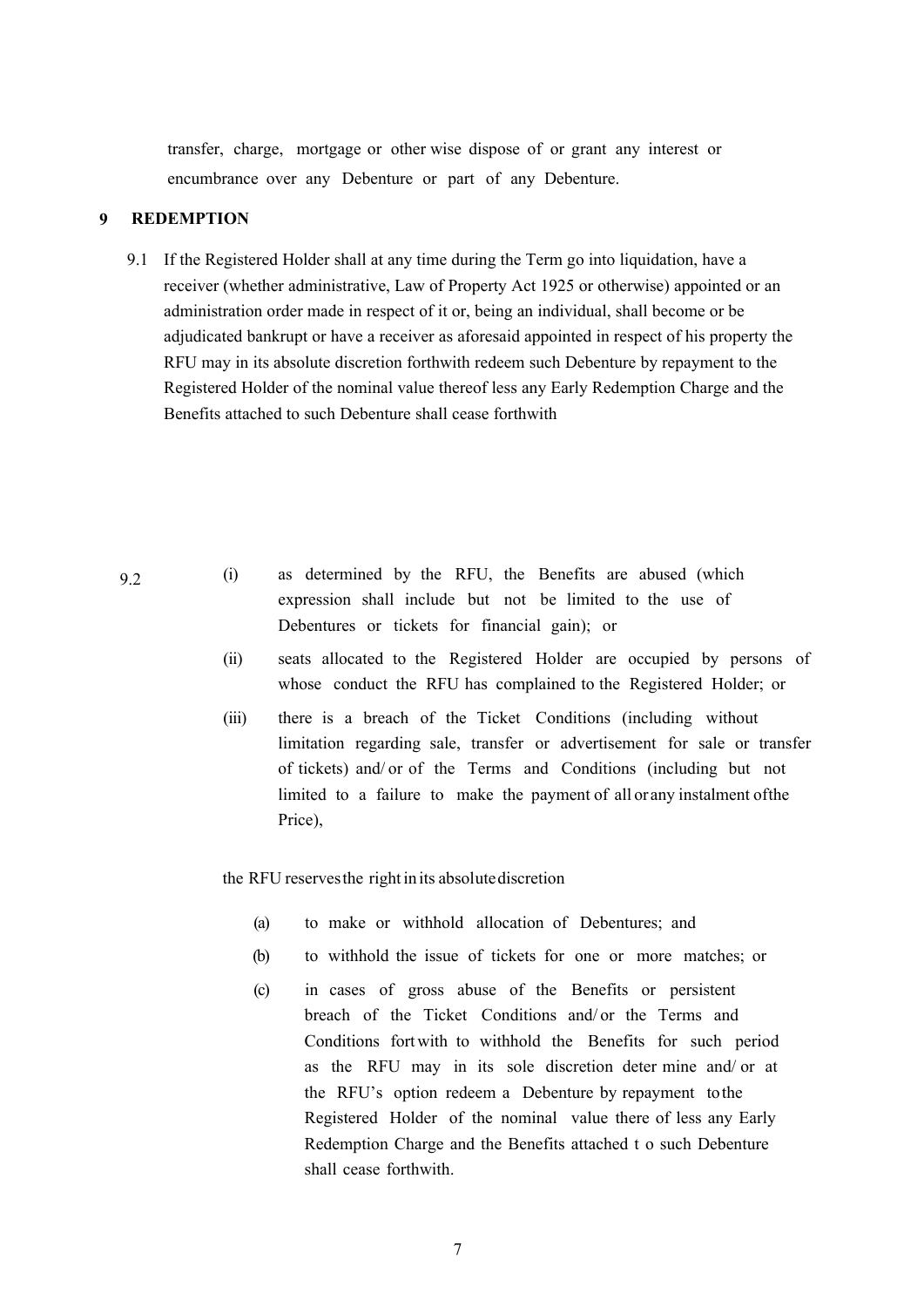transfer, charge, mortgage or other wise dispose of or grant any interest or encumbrance over any Debenture or part of any Debenture.

#### <span id="page-6-0"></span>**9 REDEMPTION**

9.1 If the Registered Holder shall at any time during the Term go into liquidation, have a receiver (whether administrative, Law of Property Act 1925 or otherwise) appointed or an administration order made in respect of it or, being an individual, shall become or be adjudicated bankrupt or have a receiver as aforesaid appointed in respect of his property the RFU may in its absolute discretion forthwith redeem such Debenture by repayment to the Registered Holder of the nominal value thereof less any Early Redemption Charge and the Benefits attached to such Debenture shall cease forthwith

- (i) as determined by the RFU, the Benefits are abused (which expression shall include but not be limited to the use of Debentures or tickets for financial gain); or
	- (ii) seats allocated to the Registered Holder are occupied by persons of whose conduct the RFU has complained to the Registered Holder; or
	- (iii) there is a breach of the Ticket Conditions (including without limitation regarding sale, transfer or advertisement for sale or transfer of tickets) and/ or of the Terms and Conditions (including but not limited to a failure to make the payment of all or any instalment of the Price),

the RFU reserves the right in its absolute discretion

- (a) to make or withhold allocation of Debentures; and
- (b) to withhold the issue of tickets for one or more matches; or
- (c) in cases of gross abuse of the Benefits or persistent breach of the Ticket Conditions and/ or the Terms and Conditions fortwith to withhold the Benefits for such period as the RFU may in its sole discretion deter mine and/ or at the RFU's option redeem a Debenture by repayment to the Registered Holder of the nominal value there of less any Early Redemption Charge and the Benefits attached t o such Debenture shall cease forthwith.

9.2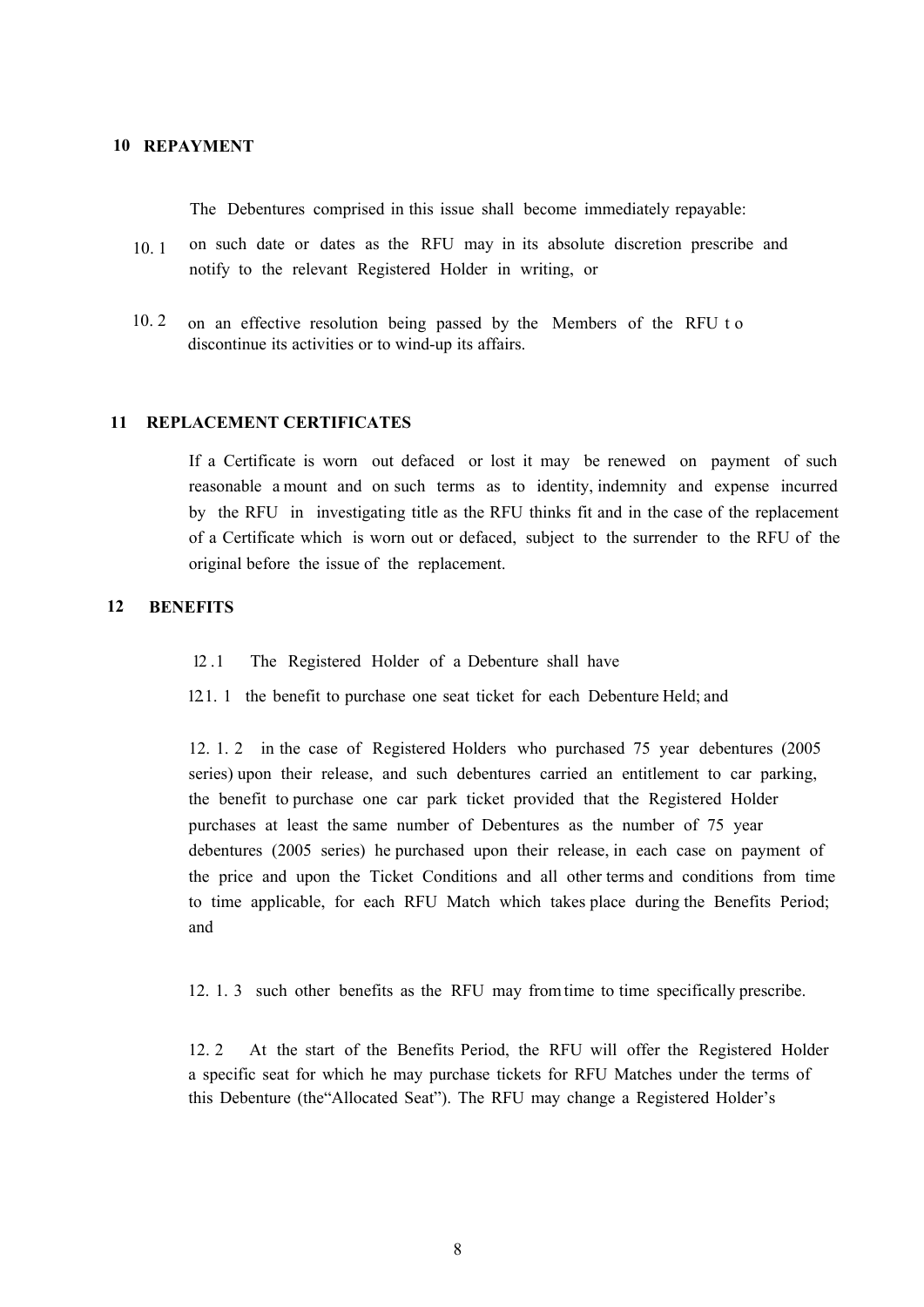# **10 REPAYMENT**

The Debentures comprised in this issue shall become immediately repayable:

- on such date or dates as the RFU may in its absolute discretion prescribe and notify to the relevant Registered Holder in writing, or 10. 1
- on an effective resolution being passed by the Members of the RFU t o discontinue its activities or to wind-up its affairs. 10. 2

#### **11 REPLACEMENT CERTIFICATES**

If a Certificate is worn out defaced or lost it may be renewed on payment of such reasonable a mount and on such terms as to identity, indemnity and expense incurred by the RFU in investigating title as the RFU thinks fit and in the case of the replacement of a Certificate which is worn out or defaced, subject to the surrender to the RFU of the original before the issue of the replacement.

#### <span id="page-7-0"></span>**12 BENEFITS**

12 .1 The Registered Holder of a Debenture shall have

12.1. 1 the benefit to purchase one seat ticket for each Debenture Held; and

12. 1. 2 in the case of Registered Holders who purchased 75 year debentures (2005 series) upon their release, and such debentures carried an entitlement to car parking, the benefit to purchase one car park ticket provided that the Registered Holder purchases at least the same number of Debentures as the number of 75 year debentures (2005 series) he purchased upon their release, in each case on payment of the price and upon the Ticket Conditions and all other terms and conditions from time to time applicable, for each RFU Match which takes place during the Benefits Period; and

12. 1. 3 such other benefits as the RFU may from time to time specifically prescribe.

12. 2 At the start of the Benefits Period, the RFU will offer the Registered Holder a specific seat for which he may purchase tickets for RFU Matches under the terms of this Debenture (the"Allocated Seat"). The RFU may change a Registered Holder's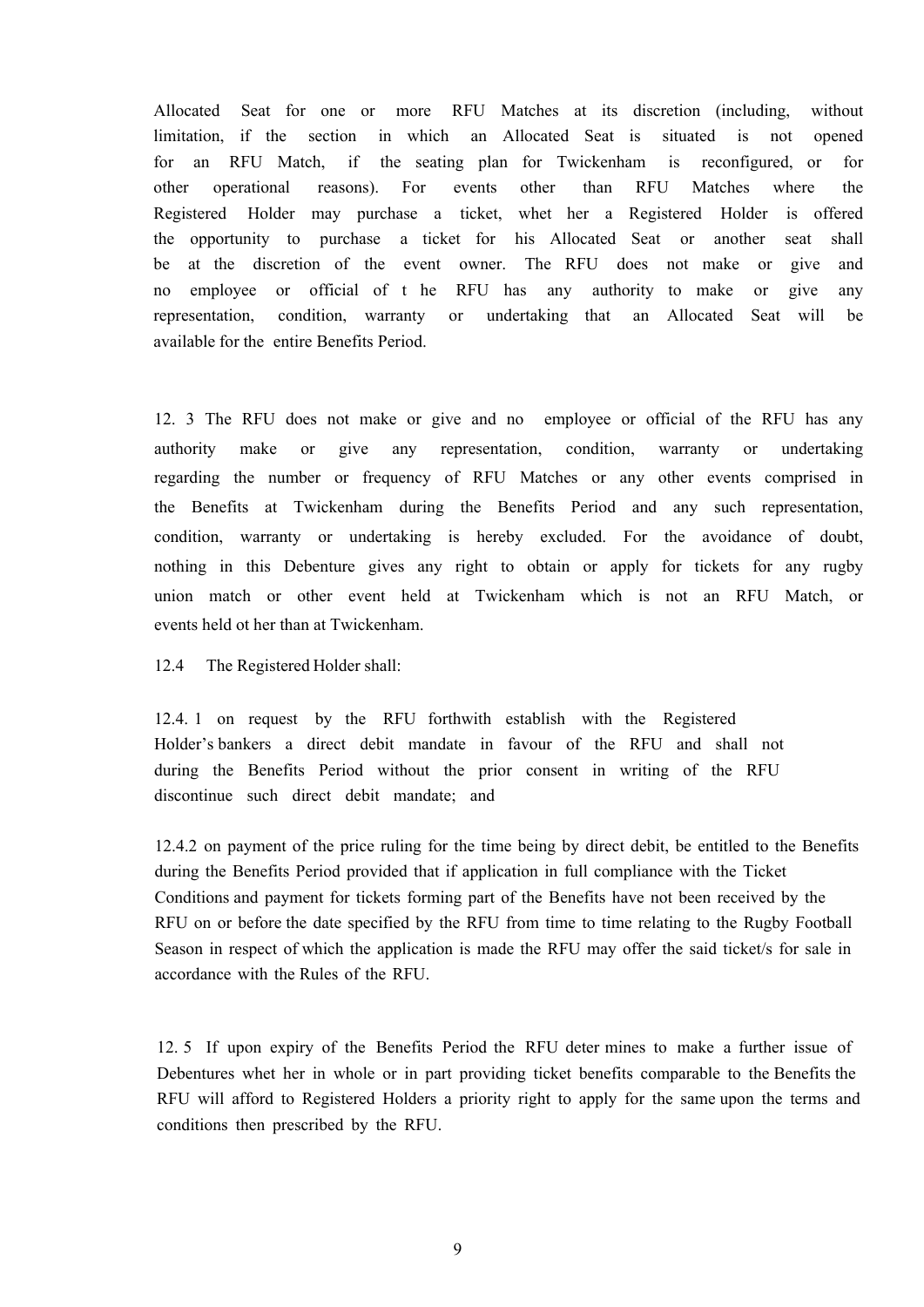Allocated Seat for one or more RFU Matches at its discretion (including, without limitation, if the section in which an Allocated Seat is situated is not opened for an RFU Match, if the seating plan for Twickenham is reconfigured, or for other operational reasons). For events other than RFU Matches where the Registered Holder may purchase a ticket, whet her a Registered Holder is offered the opportunity to purchase a ticket for his Allocated Seat or another seat shall be at the discretion of the event owner. The RFU does not make or give and no employee or official of t he RFU has any authority to make or give any representation, condition, warranty or undertaking that an Allocated Seat will be available for the entire Benefits Period.

12. 3 The RFU does not make or give and no employee or official of the RFU has any authority make or give any representation, condition, warranty or undertaking regarding the number or frequency of RFU Matches or any other events comprised in the Benefits at Twickenham during the Benefits Period and any such representation, condition, warranty or undertaking is hereby excluded. For the avoidance of doubt, nothing in this Debenture gives any right to obtain or apply for tickets for any rugby union match or other event held at Twickenham which is not an RFU Match, or events held ot her than at Twickenham.

12.4 The Registered Holder shall:

12.4. 1 on request by the RFU forthwith establish with the Registered Holder's bankers a direct debit mandate in favour of the RFU and shall not during the Benefits Period without the prior consent in writing of the RFU discontinue such direct debit mandate; and

12.4.2 on payment of the price ruling for the time being by direct debit, be entitled to the Benefits during the Benefits Period provided that if application in full compliance with the Ticket Conditions and payment for tickets forming part of the Benefits have not been received by the RFU on or before the date specified by the RFU from time to time relating to the Rugby Football Season in respect of which the application is made the RFU may offer the said ticket/s for sale in accordance with the Rules of the RFU.

12. 5 If upon expiry of the Benefits Period the RFU deter mines to make a further issue of Debentures whet her in whole or in part providing ticket benefits comparable to the Benefits the RFU will afford to Registered Holders a priority right to apply for the same upon the terms and conditions then prescribed by the RFU.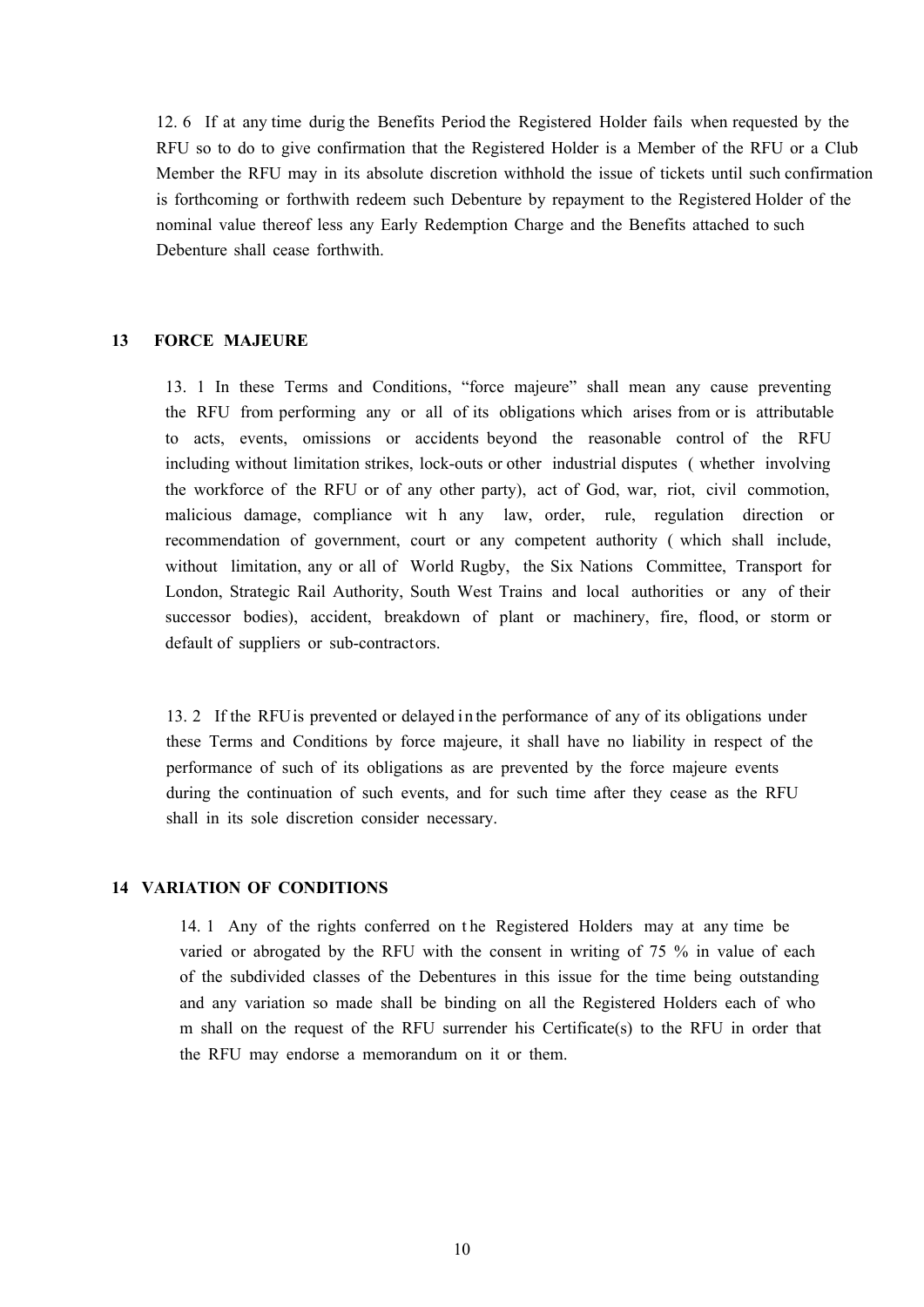12. 6 If at any time durig the Benefits Period the Registered Holder fails when requested by the RFU so to do to give confirmation that the Registered Holder is a Member of the RFU or a Club Member the RFU may in its absolute discretion withhold the issue of tickets until such confirmation is forthcoming or forthwith redeem such Debenture by repayment to the Registered Holder of the nominal value thereof less any Early Redemption Charge and the Benefits attached to such Debenture shall cease forthwith.

### **13 FORCE MAJEURE**

13. 1 In these Terms and Conditions, "force majeure" shall mean any cause preventing the RFU from performing any or all of its obligations which arises from or is attributable to acts, events, omissions or accidents beyond the reasonable control of the RFU including without limitation strikes, lock-outs or other industrial disputes ( whether involving the workforce of the RFU or of any other party), act of God, war, riot, civil commotion, malicious damage, compliance wit h any law, order, rule, regulation direction or recommendation of government, court or any competent authority ( which shall include, without limitation, any or all of World Rugby, the Six Nations Committee, Transport for London, Strategic Rail Authority, South West Trains and local authorities or any of their successor bodies), accident, breakdown of plant or machinery, fire, flood, or storm or default of suppliers or sub-contractors.

13. 2 If the RFU is prevented or delayed i n the performance of any of its obligations under these Terms and Conditions by force majeure, it shall have no liability in respect of the performance of such of its obligations as are prevented by the force majeure events during the continuation of such events, and for such time after they cease as the RFU shall in its sole discretion consider necessary.

### **14 VARIATION OF CONDITIONS**

14. 1 Any of the rights conferred on t he Registered Holders may at any time be varied or abrogated by the RFU with the consent in writing of 75 % in value of each of the subdivided classes of the Debentures in this issue for the time being outstanding and any variation so made shall be binding on all the Registered Holders each of who m shall on the request of the RFU surrender his Certificate(s) to the RFU in order that the RFU may endorse a memorandum on it or them.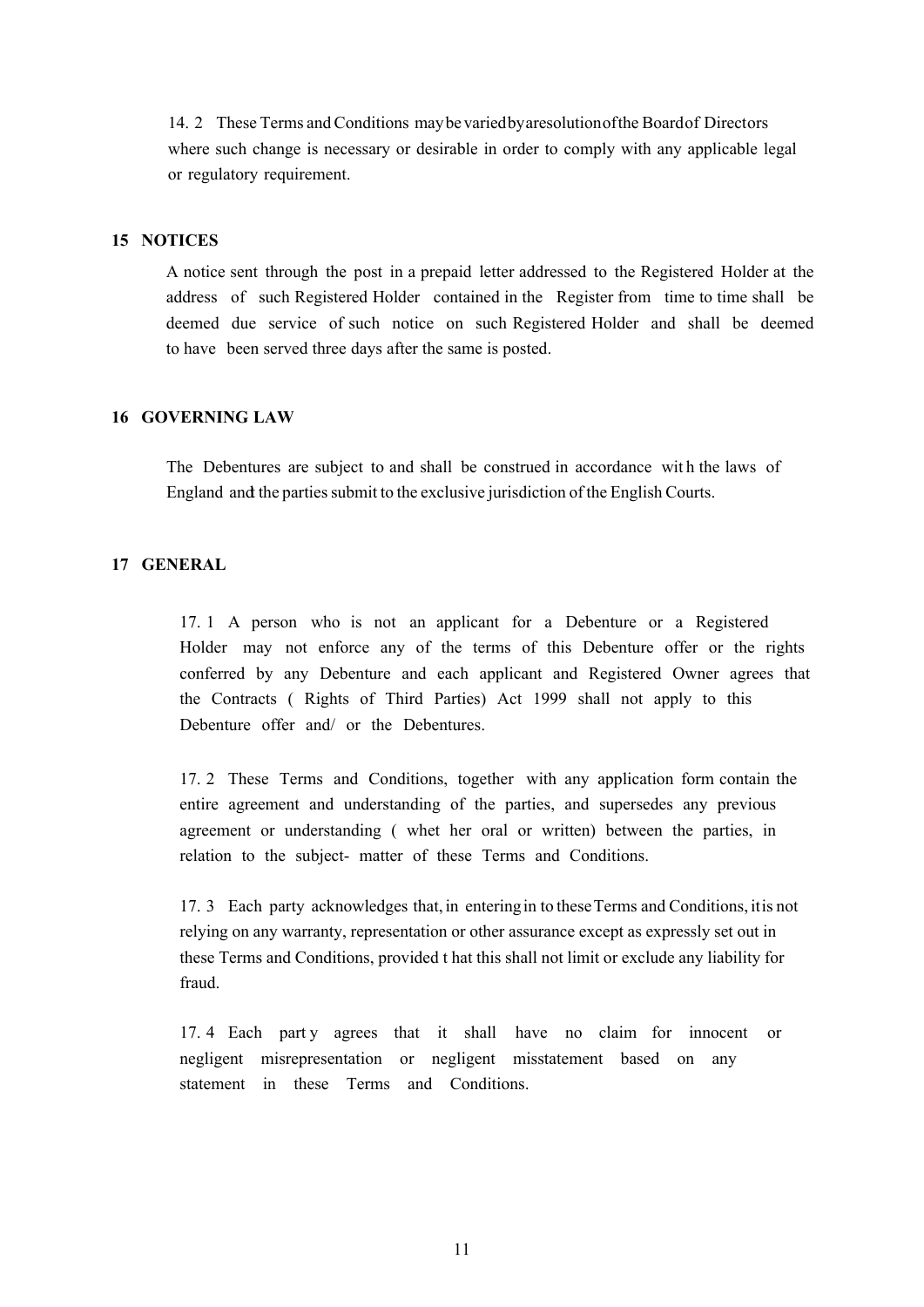14. 2 These Terms and Conditions may be varied by a resolution of the Board of Directors where such change is necessary or desirable in order to comply with any applicable legal or regulatory requirement.

# **15 NOTICES**

A notice sent through the post in a prepaid letter addressed to the Registered Holder at the address of such Registered Holder contained in the Register from time to time shall be deemed due service of such notice on such Registered Holder and shall be deemed to have been served three days after the same is posted.

# **16 GOVERNING LAW**

The Debentures are subject to and shall be construed in accordance wit h the laws of England and the parties submit to the exclusive jurisdiction of the English Courts.

## **17 GENERAL**

17. 1 A person who is not an applicant for a Debenture or a Registered Holder may not enforce any of the terms of this Debenture offer or the rights conferred by any Debenture and each applicant and Registered Owner agrees that the Contracts ( Rights of Third Parties) Act 1999 shall not apply to this Debenture offer and/ or the Debentures.

17. 2 These Terms and Conditions, together with any application form contain the entire agreement and understanding of the parties, and supersedes any previous agreement or understanding ( whet her oral or written) between the parties, in relation to the subject- matter of these Terms and Conditions.

17. 3 Each party acknowledges that, in entering in to these Terms and Conditions, it is not relying on any warranty, representation or other assurance except as expressly set out in these Terms and Conditions, provided t hat this shall not limit or exclude any liability for fraud.

17. 4 Each party agrees that it shall have no claim for innocent or negligent misrepresentation or negligent misstatement based on any statement in these Terms and Conditions.